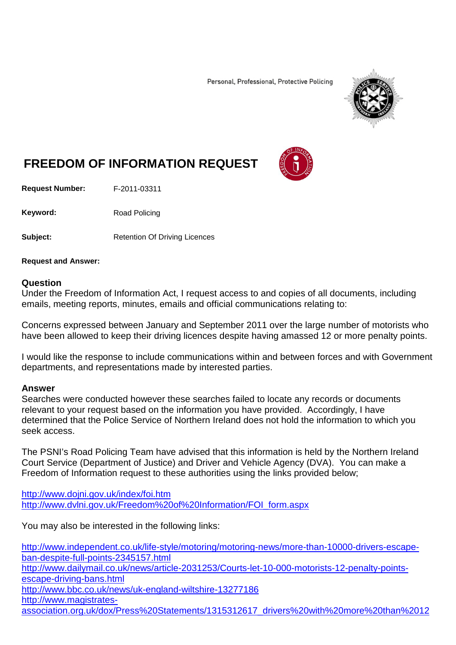Personal, Professional, Protective Policing



## **FREEDOM OF INFORMATION REQUEST**

**Request Number:** F-2011-03311

Keyword: Road Policing

**Subject:** Retention Of Driving Licences

**Request and Answer:**

## **Question**

Under the Freedom of Information Act, I request access to and copies of all documents, including emails, meeting reports, minutes, emails and official communications relating to:

Concerns expressed between January and September 2011 over the large number of motorists who have been allowed to keep their driving licences despite having amassed 12 or more penalty points.

I would like the response to include communications within and between forces and with Government departments, and representations made by interested parties.

## **Answer**

Searches were conducted however these searches failed to locate any records or documents relevant to your request based on the information you have provided. Accordingly, I have determined that the Police Service of Northern Ireland does not hold the information to which you seek access.

The PSNI's Road Policing Team have advised that this information is held by the Northern Ireland Court Service (Department of Justice) and Driver and Vehicle Agency (DVA). You can make a Freedom of Information request to these authorities using the links provided below;

<http://www.dojni.gov.uk/index/foi.htm> [http://www.dvlni.gov.uk/Freedom%20of%20Information/FOI\\_form.aspx](http://www.dvlni.gov.uk/Freedom%20of%20Information/FOI_form.aspx)

You may also be interested in the following links:

[http://www.independent.co.uk/life-style/motoring/motoring-news/more-than-10000-drivers-escape](http://www.independent.co.uk/life-style/motoring/motoring-news/more-than-10000-drivers-escape-ban-despite-full-points-2345157.html)[ban-despite-full-points-2345157.html](http://www.independent.co.uk/life-style/motoring/motoring-news/more-than-10000-drivers-escape-ban-despite-full-points-2345157.html) [http://www.dailymail.co.uk/news/article-2031253/Courts-let-10-000-motorists-12-penalty-points](http://www.dailymail.co.uk/news/article-2031253/Courts-let-10-000-motorists-12-penalty-points-escape-driving-bans.html)[escape-driving-bans.html](http://www.dailymail.co.uk/news/article-2031253/Courts-let-10-000-motorists-12-penalty-points-escape-driving-bans.html) <http://www.bbc.co.uk/news/uk-england-wiltshire-13277186> [http://www.magistrates](http://www.magistrates-association.org.uk/dox/Press%20Statements/1315312617_drivers%20with%20more%20than%2012%20points%20on%20their%20licences,%20chc%2030%20august%202011.pdf?PHPSESSID=pt48hcstagp30g220q1f95mki3)[association.org.uk/dox/Press%20Statements/1315312617\\_drivers%20with%20more%20than%2012](http://www.magistrates-association.org.uk/dox/Press%20Statements/1315312617_drivers%20with%20more%20than%2012%20points%20on%20their%20licences,%20chc%2030%20august%202011.pdf?PHPSESSID=pt48hcstagp30g220q1f95mki3)